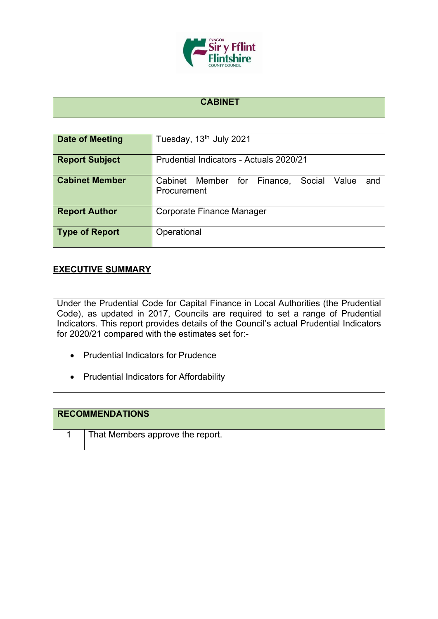

#### **CABINET**

| Date of Meeting       | Tuesday, 13 <sup>th</sup> July 2021                               |  |
|-----------------------|-------------------------------------------------------------------|--|
| <b>Report Subject</b> | Prudential Indicators - Actuals 2020/21                           |  |
| <b>Cabinet Member</b> | Cabinet Member for Finance,<br>Social Value<br>and<br>Procurement |  |
| <b>Report Author</b>  | Corporate Finance Manager                                         |  |
| <b>Type of Report</b> | Operational                                                       |  |

#### **EXECUTIVE SUMMARY**

Under the Prudential Code for Capital Finance in Local Authorities (the Prudential Code), as updated in 2017, Councils are required to set a range of Prudential Indicators. This report provides details of the Council's actual Prudential Indicators for 2020/21 compared with the estimates set for:-

- Prudential Indicators for Prudence
- Prudential Indicators for Affordability

| <b>RECOMMENDATIONS</b>           |
|----------------------------------|
| That Members approve the report. |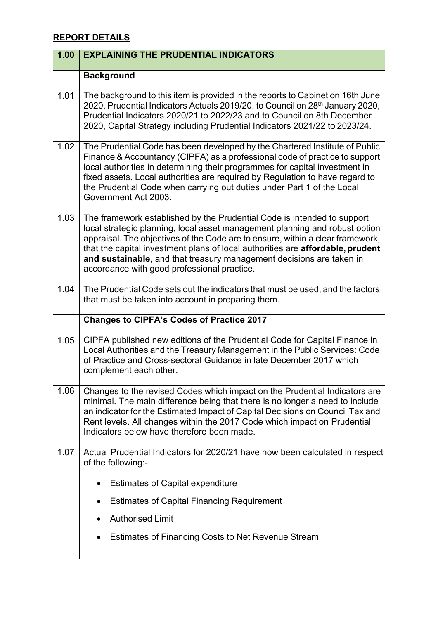## **REPORT DETAILS**

| 1.00 | <b>EXPLAINING THE PRUDENTIAL INDICATORS</b>                                                                                                                                                                                                                                                                                                                                                                                                       |
|------|---------------------------------------------------------------------------------------------------------------------------------------------------------------------------------------------------------------------------------------------------------------------------------------------------------------------------------------------------------------------------------------------------------------------------------------------------|
|      | <b>Background</b>                                                                                                                                                                                                                                                                                                                                                                                                                                 |
| 1.01 | The background to this item is provided in the reports to Cabinet on 16th June<br>2020, Prudential Indicators Actuals 2019/20, to Council on 28 <sup>th</sup> January 2020,<br>Prudential Indicators 2020/21 to 2022/23 and to Council on 8th December<br>2020, Capital Strategy including Prudential Indicators 2021/22 to 2023/24.                                                                                                              |
| 1.02 | The Prudential Code has been developed by the Chartered Institute of Public<br>Finance & Accountancy (CIPFA) as a professional code of practice to support<br>local authorities in determining their programmes for capital investment in<br>fixed assets. Local authorities are required by Regulation to have regard to<br>the Prudential Code when carrying out duties under Part 1 of the Local<br>Government Act 2003.                       |
| 1.03 | The framework established by the Prudential Code is intended to support<br>local strategic planning, local asset management planning and robust option<br>appraisal. The objectives of the Code are to ensure, within a clear framework,<br>that the capital investment plans of local authorities are affordable, prudent<br>and sustainable, and that treasury management decisions are taken in<br>accordance with good professional practice. |
| 1.04 | The Prudential Code sets out the indicators that must be used, and the factors<br>that must be taken into account in preparing them.                                                                                                                                                                                                                                                                                                              |
|      | <b>Changes to CIPFA's Codes of Practice 2017</b>                                                                                                                                                                                                                                                                                                                                                                                                  |
| 1.05 | CIPFA published new editions of the Prudential Code for Capital Finance in<br>Local Authorities and the Treasury Management in the Public Services: Code<br>of Practice and Cross-sectoral Guidance in late December 2017 which<br>complement each other.                                                                                                                                                                                         |
| 1.06 | Changes to the revised Codes which impact on the Prudential Indicators are<br>minimal. The main difference being that there is no longer a need to include<br>an indicator for the Estimated Impact of Capital Decisions on Council Tax and<br>Rent levels. All changes within the 2017 Code which impact on Prudential<br>Indicators below have therefore been made.                                                                             |
| 1.07 | Actual Prudential Indicators for 2020/21 have now been calculated in respect<br>of the following:-                                                                                                                                                                                                                                                                                                                                                |
|      | <b>Estimates of Capital expenditure</b>                                                                                                                                                                                                                                                                                                                                                                                                           |
|      | <b>Estimates of Capital Financing Requirement</b><br>$\bullet$                                                                                                                                                                                                                                                                                                                                                                                    |
|      | <b>Authorised Limit</b>                                                                                                                                                                                                                                                                                                                                                                                                                           |
|      | Estimates of Financing Costs to Net Revenue Stream                                                                                                                                                                                                                                                                                                                                                                                                |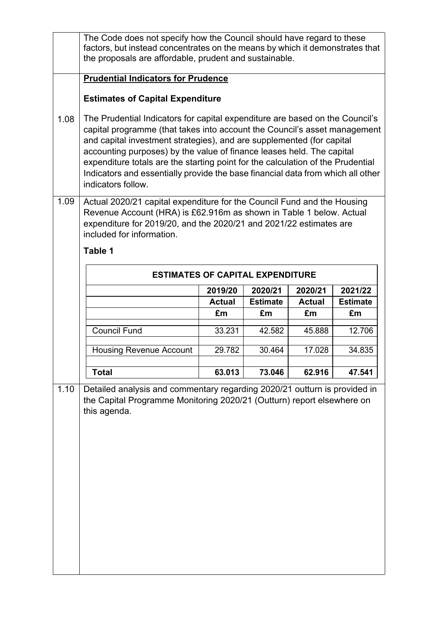|      | The Code does not specify how the Council should have regard to these<br>factors, but instead concentrates on the means by which it demonstrates that<br>the proposals are affordable, prudent and sustainable.                                                                                                                                                                                                                                                                                         |               |                 |               |                 |
|------|---------------------------------------------------------------------------------------------------------------------------------------------------------------------------------------------------------------------------------------------------------------------------------------------------------------------------------------------------------------------------------------------------------------------------------------------------------------------------------------------------------|---------------|-----------------|---------------|-----------------|
|      | <b>Prudential Indicators for Prudence</b>                                                                                                                                                                                                                                                                                                                                                                                                                                                               |               |                 |               |                 |
|      | <b>Estimates of Capital Expenditure</b>                                                                                                                                                                                                                                                                                                                                                                                                                                                                 |               |                 |               |                 |
| 1.08 | The Prudential Indicators for capital expenditure are based on the Council's<br>capital programme (that takes into account the Council's asset management<br>and capital investment strategies), and are supplemented (for capital<br>accounting purposes) by the value of finance leases held. The capital<br>expenditure totals are the starting point for the calculation of the Prudential<br>Indicators and essentially provide the base financial data from which all other<br>indicators follow. |               |                 |               |                 |
| 1.09 | Actual 2020/21 capital expenditure for the Council Fund and the Housing<br>Revenue Account (HRA) is £62.916m as shown in Table 1 below. Actual<br>expenditure for 2019/20, and the 2020/21 and 2021/22 estimates are<br>included for information.                                                                                                                                                                                                                                                       |               |                 |               |                 |
|      | Table 1                                                                                                                                                                                                                                                                                                                                                                                                                                                                                                 |               |                 |               |                 |
|      | <b>ESTIMATES OF CAPITAL EXPENDITURE</b>                                                                                                                                                                                                                                                                                                                                                                                                                                                                 |               |                 |               |                 |
|      |                                                                                                                                                                                                                                                                                                                                                                                                                                                                                                         | 2019/20       | 2020/21         | 2020/21       | 2021/22         |
|      |                                                                                                                                                                                                                                                                                                                                                                                                                                                                                                         | <b>Actual</b> | <b>Estimate</b> | <b>Actual</b> | <b>Estimate</b> |
|      |                                                                                                                                                                                                                                                                                                                                                                                                                                                                                                         | £m            | £m              | £m            | £m              |
|      | <b>Council Fund</b>                                                                                                                                                                                                                                                                                                                                                                                                                                                                                     | 33.231        | 42.582          | 45.888        | 12.706          |
|      | <b>Housing Revenue Account</b>                                                                                                                                                                                                                                                                                                                                                                                                                                                                          | 29.782        | 30.464          | 17.028        | 34.835          |
|      | <b>Total</b>                                                                                                                                                                                                                                                                                                                                                                                                                                                                                            | 63.013        | 73.046          | 62.916        | 47.541          |
| 1.10 | Detailed analysis and commentary regarding 2020/21 outturn is provided in<br>the Capital Programme Monitoring 2020/21 (Outturn) report elsewhere on<br>this agenda.                                                                                                                                                                                                                                                                                                                                     |               |                 |               |                 |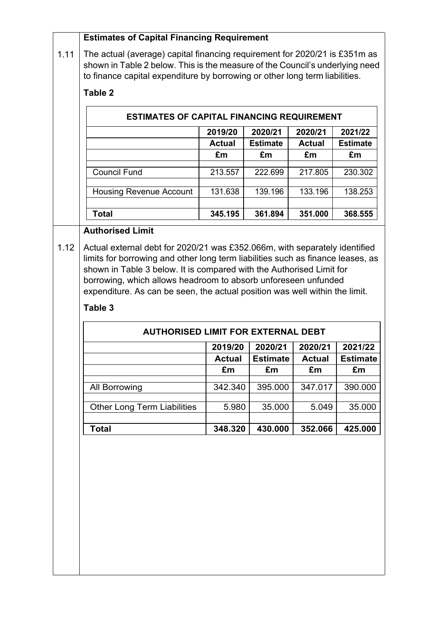|      | <b>Estimates of Capital Financing Requirement</b>                                      |                          |                            |                          |                            |
|------|----------------------------------------------------------------------------------------|--------------------------|----------------------------|--------------------------|----------------------------|
| 1.11 | The actual (average) capital financing requirement for 2020/21 is £351m as             |                          |                            |                          |                            |
|      | shown in Table 2 below. This is the measure of the Council's underlying need           |                          |                            |                          |                            |
|      | to finance capital expenditure by borrowing or other long term liabilities.            |                          |                            |                          |                            |
|      | Table 2                                                                                |                          |                            |                          |                            |
|      | <b>ESTIMATES OF CAPITAL FINANCING REQUIREMENT</b>                                      |                          |                            |                          |                            |
|      |                                                                                        | 2019/20<br><b>Actual</b> | 2020/21<br><b>Estimate</b> | 2020/21<br><b>Actual</b> | 2021/22<br><b>Estimate</b> |
|      |                                                                                        | £m                       | £m                         | £m                       | £m                         |
|      | <b>Council Fund</b>                                                                    | 213.557                  | 222.699                    | 217.805                  | 230.302                    |
|      | <b>Housing Revenue Account</b>                                                         | 131.638                  | 139.196                    | 133.196                  | 138.253                    |
|      | <b>Total</b>                                                                           | 345.195                  | 361.894                    | 351.000                  | 368.555                    |
|      | <b>Authorised Limit</b>                                                                |                          |                            |                          |                            |
|      | borrowing, which allows headroom to absorb unforeseen unfunded                         |                          |                            |                          |                            |
|      | expenditure. As can be seen, the actual position was well within the limit.<br>Table 3 |                          |                            |                          |                            |
|      | <b>AUTHORISED LIMIT FOR EXTERNAL DEBT</b>                                              |                          |                            |                          |                            |
|      |                                                                                        | 2019/20                  | 2020/21                    | 2020/21                  | 2021/22                    |
|      |                                                                                        | <b>Actual</b>            | <b>Estimate</b>            | <b>Actual</b>            | <b>Estimate</b>            |
|      |                                                                                        | £m                       | £m                         | £m                       | £m                         |
|      | <b>All Borrowing</b>                                                                   | 342.340                  | 395.000                    | 347.017                  | 390.000                    |
|      | <b>Other Long Term Liabilities</b>                                                     | 5.980                    | 35.000                     | 5.049                    | 35.000                     |
|      | <b>Total</b>                                                                           | 348.320                  | 430.000                    | 352.066                  | 425.000                    |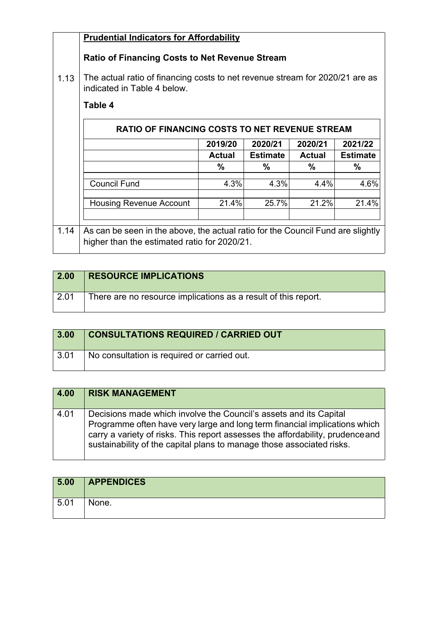| <b>Prudential Indicators for Affordability</b> |  |
|------------------------------------------------|--|
|------------------------------------------------|--|

# **Ratio of Financing Costs to Net Revenue Stream**

1.13 The actual ratio of financing costs to net revenue stream for 2020/21 are as indicated in Table 4 below.

### **Table 4**

|      |                                                                                 | 2019/20       | 2020/21         | 2020/21       | 2021/22         |
|------|---------------------------------------------------------------------------------|---------------|-----------------|---------------|-----------------|
|      |                                                                                 | <b>Actual</b> | <b>Estimate</b> | <b>Actual</b> | <b>Estimate</b> |
|      |                                                                                 | %             | $\%$            | $\%$          | $\%$            |
|      | <b>Council Fund</b>                                                             | 4.3%          | 4.3%            | 4.4%          | 4.6%            |
|      | <b>Housing Revenue Account</b>                                                  | 21.4%         | 25.7%           | 21.2%         | 21.4%           |
| 1.14 | As can be seen in the above, the actual ratio for the Council Fund are slightly |               |                 |               |                 |

| 2.00               | <b>RESOURCE IMPLICATIONS</b>                                   |
|--------------------|----------------------------------------------------------------|
| $\vert 2.01 \vert$ | There are no resource implications as a result of this report. |

| 3.00 | <b>CONSULTATIONS REQUIRED / CARRIED OUT</b> |
|------|---------------------------------------------|
| 3.01 | No consultation is required or carried out. |

| $\boxed{4.00}$ | <b>RISK MANAGEMENT</b>                                                                                                                                                                                                                                                                                     |
|----------------|------------------------------------------------------------------------------------------------------------------------------------------------------------------------------------------------------------------------------------------------------------------------------------------------------------|
| 4.01           | Decisions made which involve the Council's assets and its Capital<br>Programme often have very large and long term financial implications which<br>carry a variety of risks. This report assesses the affordability, prudence and<br>sustainability of the capital plans to manage those associated risks. |

| 5.00 | <b>APPENDICES</b> |
|------|-------------------|
| 5.01 | None.             |